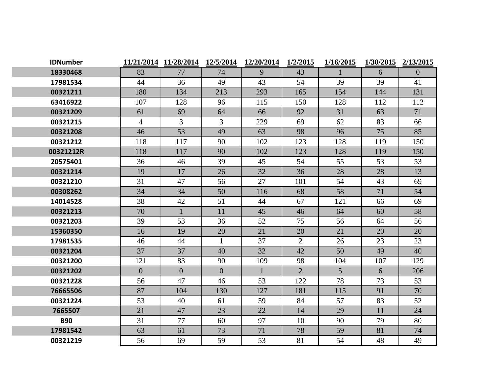| <b>IDNumber</b> | 11/21/2014     | 11/28/2014   | 12/5/2014      | 12/20/2014   | 1/2/2015       | 1/16/2015      | 1/30/2015 | 2/13/2015 |
|-----------------|----------------|--------------|----------------|--------------|----------------|----------------|-----------|-----------|
| 18330468        | 83             | 77           | 74             | 9            | 43             | $\mathbf{1}$   | 6         | $\theta$  |
| 17981534        | 44             | 36           | 49             | 43           | 54             | 39             | 39        | 41        |
| 00321211        | 180            | 134          | 213            | 293          | 165            | 154            | 144       | 131       |
| 63416922        | 107            | 128          | 96             | 115          | 150            | 128            | 112       | 112       |
| 00321209        | 61             | 69           | 64             | 66           | 92             | 31             | 63        | 71        |
| 00321215        | $\overline{4}$ | 3            | $\mathfrak{Z}$ | 229          | 69             | 62             | 83        | 66        |
| 00321208        | 46             | 53           | 49             | 63           | 98             | 96             | 75        | 85        |
| 00321212        | 118            | 117          | 90             | 102          | 123            | 128            | 119       | 150       |
| 00321212R       | 118            | 117          | 90             | 102          | 123            | 128            | 119       | 150       |
| 20575401        | 36             | 46           | 39             | 45           | 54             | 55             | 53        | 53        |
| 00321214        | 19             | 17           | 26             | 32           | 36             | 28             | 28        | 13        |
| 00321210        | 31             | 47           | 56             | 27           | 101            | 54             | 43        | 69        |
| 00308262        | 34             | 34           | 50             | 116          | 68             | 58             | 71        | 54        |
| 14014528        | 38             | 42           | 51             | 44           | 67             | 121            | 66        | 69        |
| 00321213        | 70             |              | 11             | 45           | 46             | 64             | 60        | 58        |
| 00321203        | 39             | 53           | 36             | 52           | 75             | 56             | 64        | 56        |
| 15360350        | 16             | 19           | 20             | 21           | 20             | 21             | 20        | 20        |
| 17981535        | 46             | 44           | $\mathbf{1}$   | 37           | 2              | 26             | 23        | 23        |
| 00321204        | 37             | 37           | 40             | 32           | 42             | 50             | 49        | 40        |
| 00321200        | 121            | 83           | 90             | 109          | 98             | 104            | 107       | 129       |
| 00321202        | $\overline{0}$ | $\mathbf{0}$ | $\overline{0}$ | $\mathbf{1}$ | $\overline{2}$ | 5 <sup>5</sup> | 6         | 206       |
| 00321228        | 56             | 47           | 46             | 53           | 122            | 78             | 73        | 53        |
| 76665506        | 87             | 104          | 130            | 127          | 181            | 115            | 91        | 70        |
| 00321224        | 53             | 40           | 61             | 59           | 84             | 57             | 83        | 52        |
| 7665507         | 21             | 47           | 23             | 22           | 14             | 29             | 11        | 24        |
| <b>B90</b>      | 31             | 77           | 60             | 97           | 10             | 90             | 79        | 80        |
| 17981542        | 63             | 61           | 73             | 71           | 78             | 59             | 81        | 74        |
| 00321219        | 56             | 69           | 59             | 53           | 81             | 54             | 48        | 49        |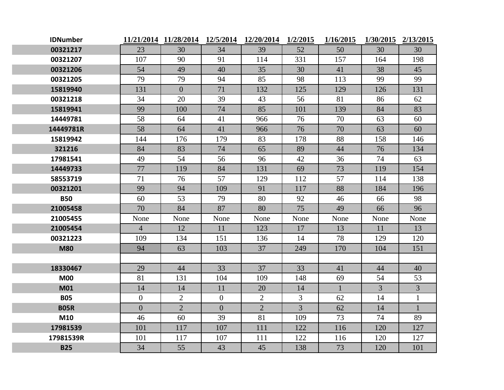| <b>IDNumber</b> |                | 11/21/2014 11/28/2014 12/5/2014 12/20/2014 |                |                | 1/2/2015       | 1/16/2015    |                | 1/30/2015 2/13/2015 |
|-----------------|----------------|--------------------------------------------|----------------|----------------|----------------|--------------|----------------|---------------------|
| 00321217        | 23             | 30                                         | 34             | 39             | 52             | 50           | 30             | 30                  |
| 00321207        | 107            | 90                                         | 91             | 114            | 331            | 157          | 164            | 198                 |
| 00321206        | 54             | 49                                         | 40             | 35             | 30             | 41           | 38             | 45                  |
| 00321205        | 79             | 79                                         | 94             | 85             | 98             | 113          | 99             | 99                  |
| 15819940        | 131            | $\overline{0}$                             | 71             | 132            | 125            | 129          | 126            | 131                 |
| 00321218        | 34             | 20                                         | 39             | 43             | 56             | 81           | 86             | 62                  |
| 15819941        | 99             | 100                                        | 74             | 85             | 101            | 139          | 84             | 83                  |
| 14449781        | 58             | 64                                         | 41             | 966            | 76             | 70           | 63             | 60                  |
| 14449781R       | 58             | 64                                         | 41             | 966            | 76             | 70           | 63             | 60                  |
| 15819942        | 144            | 176                                        | 179            | 83             | 178            | 88           | 158            | 146                 |
| 321216          | 84             | 83                                         | 74             | 65             | 89             | 44           | 76             | 134                 |
| 17981541        | 49             | 54                                         | 56             | 96             | 42             | 36           | 74             | 63                  |
| 14449733        | 77             | 119                                        | 84             | 131            | 69             | 73           | 119            | 154                 |
| 58553719        | 71             | 76                                         | 57             | 129            | 112            | 57           | 114            | 138                 |
| 00321201        | 99             | 94                                         | 109            | 91             | 117            | 88           | 184            | 196                 |
| <b>B50</b>      | 60             | 53                                         | 79             | 80             | 92             | 46           | 66             | 98                  |
| 21005458        | 70             | 84                                         | 87             | 80             | 75             | 49           | 66             | 96                  |
| 21005455        | None           | None                                       | None           | None           | None           | None         | None           | None                |
| 21005454        | $\overline{4}$ | 12                                         | 11             | 123            | 17             | 13           | 11             | 13                  |
| 00321223        | 109            | 134                                        | 151            | 136            | 14             | 78           | 129            | 120                 |
| <b>M80</b>      | 94             | 63                                         | 103            | 37             | 249            | 170          | 104            | 151                 |
|                 |                |                                            |                |                |                |              |                |                     |
| 18330467        | 29             | 44                                         | 33             | 37             | 33             | 41           | 44             | 40                  |
| <b>M00</b>      | 81             | 131                                        | 104            | 109            | 148            | 69           | 54             | 53                  |
| <b>M01</b>      | 14             | 14                                         | 11             | 20             | 14             | $\mathbf{1}$ | $\overline{3}$ | $\overline{3}$      |
| <b>B05</b>      | $\overline{0}$ | $\overline{2}$                             | $\overline{0}$ | $\overline{2}$ | 3              | 62           | 14             | $\mathbf{1}$        |
| <b>B05R</b>     | $\overline{0}$ | $\overline{2}$                             | $\mathbf{0}$   | $\overline{2}$ | $\overline{3}$ | 62           | 14             | $\mathbf{1}$        |
| M10             | 46             | 60                                         | 39             | 81             | 109            | 73           | 74             | 89                  |
| 17981539        | 101            | 117                                        | 107            | 111            | 122            | 116          | 120            | 127                 |
| 17981539R       | 101            | 117                                        | 107            | 111            | 122            | 116          | 120            | 127                 |
| <b>B25</b>      | 34             | 55                                         | 43             | 45             | 138            | 73           | 120            | 101                 |